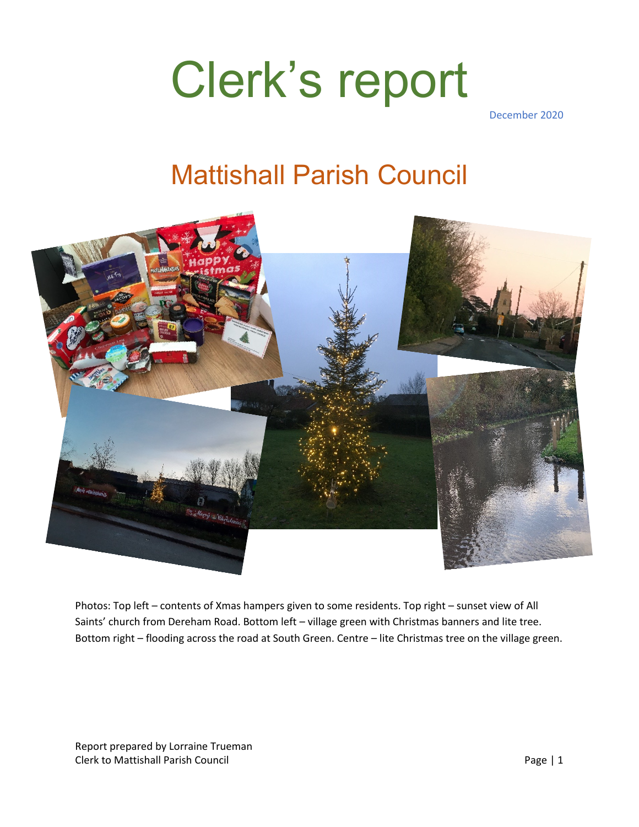# Clerk's report

December 2020

### Mattishall Parish Council



Photos: Top left – contents of Xmas hampers given to some residents. Top right – sunset view of All Saints' church from Dereham Road. Bottom left – village green with Christmas banners and lite tree. Bottom right – flooding across the road at South Green. Centre – lite Christmas tree on the village green.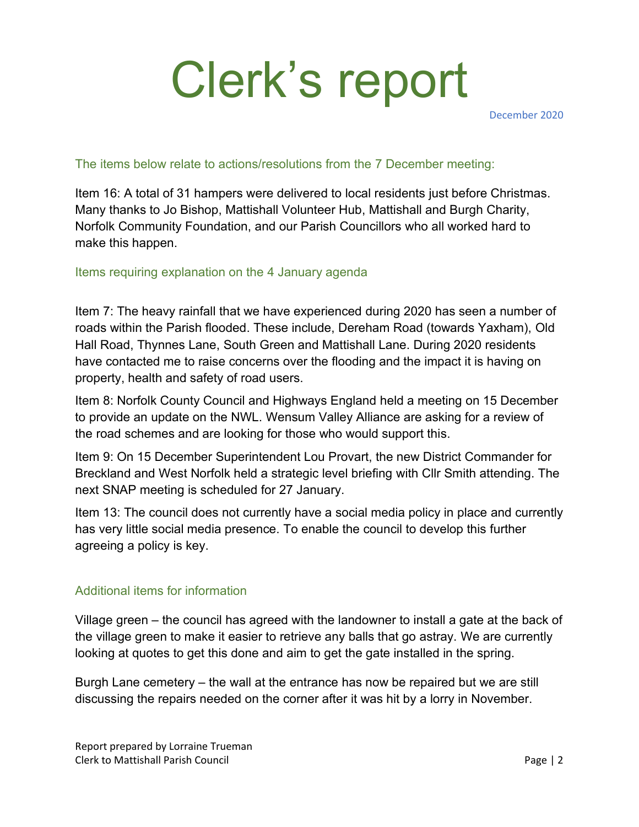# Clerk's report

December 2020

#### The items below relate to actions/resolutions from the 7 December meeting:

Item 16: A total of 31 hampers were delivered to local residents just before Christmas. Many thanks to Jo Bishop, Mattishall Volunteer Hub, Mattishall and Burgh Charity, Norfolk Community Foundation, and our Parish Councillors who all worked hard to make this happen.

#### Items requiring explanation on the 4 January agenda

Item 7: The heavy rainfall that we have experienced during 2020 has seen a number of roads within the Parish flooded. These include, Dereham Road (towards Yaxham), Old Hall Road, Thynnes Lane, South Green and Mattishall Lane. During 2020 residents have contacted me to raise concerns over the flooding and the impact it is having on property, health and safety of road users.

Item 8: Norfolk County Council and Highways England held a meeting on 15 December to provide an update on the NWL. Wensum Valley Alliance are asking for a review of the road schemes and are looking for those who would support this.

Item 9: On 15 December Superintendent Lou Provart, the new District Commander for Breckland and West Norfolk held a strategic level briefing with Cllr Smith attending. The next SNAP meeting is scheduled for 27 January.

Item 13: The council does not currently have a social media policy in place and currently has very little social media presence. To enable the council to develop this further agreeing a policy is key.

#### Additional items for information

Village green – the council has agreed with the landowner to install a gate at the back of the village green to make it easier to retrieve any balls that go astray. We are currently looking at quotes to get this done and aim to get the gate installed in the spring.

Burgh Lane cemetery – the wall at the entrance has now be repaired but we are still discussing the repairs needed on the corner after it was hit by a lorry in November.